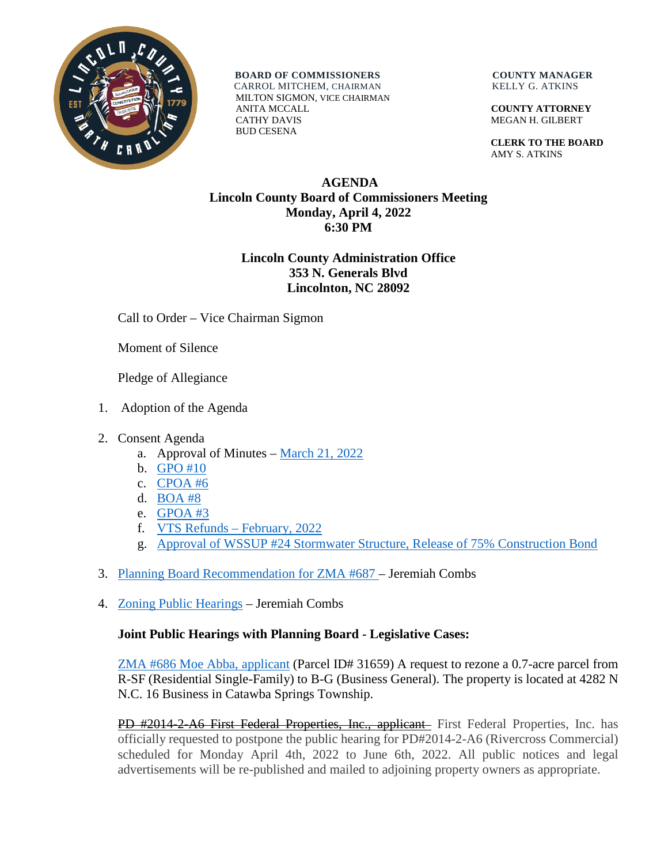

**BOARD OF COMMISSIONERS COUNTY MANAGER**  CARROL MITCHEM, CHAIRMAN KELLY G. ATKINS MILTON SIGMON, VICE CHAIRMAN ANITA MCCALL **COUNTY ATTORNEY** CATHY DAVIS MEGAN H. GILBERT BUD CESENA

 **CLERK TO THE BOARD** AMY S. ATKINS

## **AGENDA Lincoln County Board of Commissioners Meeting Monday, April 4, 2022 6:30 PM**

## **Lincoln County Administration Office 353 N. Generals Blvd Lincolnton, NC 28092**

Call to Order – Vice Chairman Sigmon

Moment of Silence

Pledge of Allegiance

- 1. Adoption of the Agenda
- 2. Consent Agenda
	- a. Approval of Minutes [March 21, 2022](https://www.lincolncounty.org/DocumentCenter/View/18791/040422Item2a)
	- b. [GPO #10](https://www.lincolncounty.org/DocumentCenter/View/18761/040422Item2b)
	- c. [CPOA #6](https://www.lincolncounty.org/DocumentCenter/View/18762/040422Item2c)
	- d. [BOA #8](https://www.lincolncounty.org/DocumentCenter/View/18763/040422Item2d)
	- e. [GPOA #3](https://www.lincolncounty.org/DocumentCenter/View/18764/040422Item2e)
	- f. [VTS Refunds –](https://www.lincolncounty.org/DocumentCenter/View/18765/040422Item2f) February, 2022
	- g. [Approval of WSSUP #24 Stormwater Structure, Release of 75% Construction Bond](https://www.lincolncounty.org/DocumentCenter/View/18766/040422Item2g)
- 3. [Planning Board Recommendation for ZMA #687](https://www.lincolncounty.org/DocumentCenter/View/18783/040422Item3) Jeremiah Combs
- 4. [Zoning Public Hearings](https://www.lincolncounty.org/DocumentCenter/View/18768/040422Item4) Jeremiah Combs

## **Joint Public Hearings with Planning Board - Legislative Cases:**

[ZMA #686 Moe Abba, applicant](https://www.lincolncounty.org/DocumentCenter/View/18769/040422Item4a) (Parcel ID# 31659) A request to rezone a 0.7-acre parcel from R-SF (Residential Single-Family) to B-G (Business General). The property is located at 4282 N N.C. 16 Business in Catawba Springs Township.

PD #2014-2-A6 First Federal Properties, Inc., applicant First Federal Properties, Inc. has officially requested to postpone the public hearing for PD#2014-2-A6 (Rivercross Commercial) scheduled for Monday April 4th, 2022 to June 6th, 2022. All public notices and legal advertisements will be re-published and mailed to adjoining property owners as appropriate.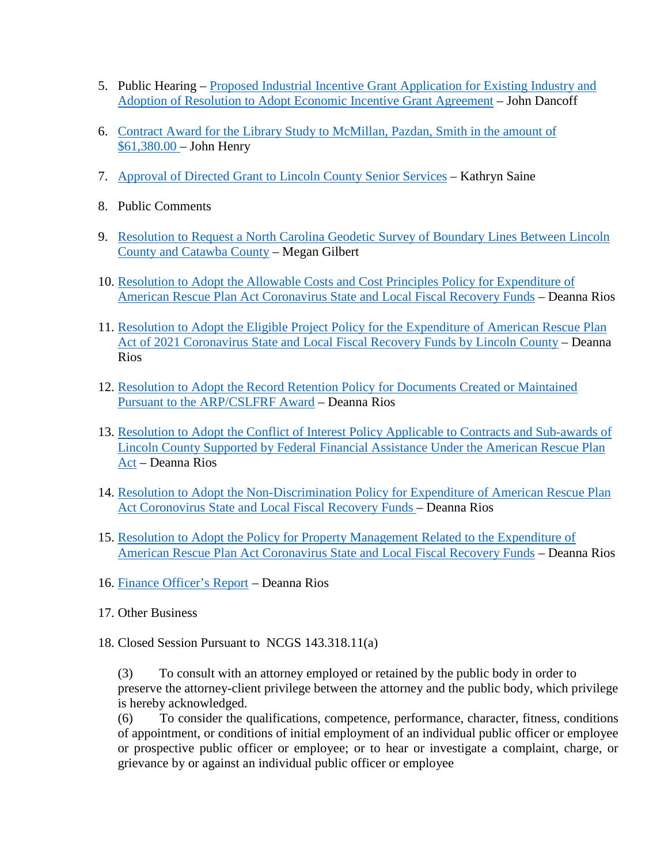- 5. Public Hearing [Proposed Industrial Incentive Grant Application for Existing Industry and](https://www.lincolncounty.org/DocumentCenter/View/18771/040422Item5)  [Adoption of Resolution to Adopt Economic Incentive Grant Agreement](https://www.lincolncounty.org/DocumentCenter/View/18771/040422Item5) – John Dancoff
- 6. [Contract Award for the Library Study to McMillan, Pazdan, Smith in the amount of](https://www.lincolncounty.org/DocumentCenter/View/18772/040422Item6)  [\\$61,380.00 –](https://www.lincolncounty.org/DocumentCenter/View/18772/040422Item6) John Henry
- 7. [Approval of Directed Grant to Lincoln County Senior Services](https://www.lincolncounty.org/DocumentCenter/View/18773/040422Item7) Kathryn Saine
- 8. Public Comments
- 9. [Resolution to Request a North Carolina Geodetic Survey of Boundary Lines Between Lincoln](https://www.lincolncounty.org/DocumentCenter/View/18774/040422Item9)  [County and Catawba County](https://www.lincolncounty.org/DocumentCenter/View/18774/040422Item9) – Megan Gilbert
- 10. [Resolution to Adopt the Allowable Costs and Cost Principles Policy for Expenditure of](https://www.lincolncounty.org/DocumentCenter/View/18775/040422Item10)  [American Rescue Plan Act Coronavirus State and Local Fiscal Recovery Funds](https://www.lincolncounty.org/DocumentCenter/View/18775/040422Item10) – Deanna Rios
- 11. [Resolution to Adopt the Eligible Project Policy for the Expenditure of American Rescue Plan](https://www.lincolncounty.org/DocumentCenter/View/18776/040422Item11)  [Act of 2021 Coronavirus State and Local Fiscal Recovery Funds by Lincoln County](https://www.lincolncounty.org/DocumentCenter/View/18776/040422Item11) – Deanna Rios
- 12. [Resolution to Adopt the Record Retention Policy for Documents Created or Maintained](https://www.lincolncounty.org/DocumentCenter/View/18777/040422Item12)  [Pursuant to the ARP/CSLFRF Award](https://www.lincolncounty.org/DocumentCenter/View/18777/040422Item12) – Deanna Rios
- 13. [Resolution to Adopt the Conflict of Interest Policy Applicable to Contracts and Sub-awards of](https://www.lincolncounty.org/DocumentCenter/View/18778/040422Item13)  [Lincoln County Supported by Federal Financial Assistance Under the American Rescue Plan](https://www.lincolncounty.org/DocumentCenter/View/18778/040422Item13)  [Act](https://www.lincolncounty.org/DocumentCenter/View/18778/040422Item13) – Deanna Rios
- 14. [Resolution to Adopt the Non-Discrimination Policy for Expenditure of American Rescue Plan](https://www.lincolncounty.org/DocumentCenter/View/18779/040422Item14)  [Act Coronovirus State and Local Fiscal Recovery Funds –](https://www.lincolncounty.org/DocumentCenter/View/18779/040422Item14) Deanna Rios
- 15. [Resolution to Adopt the Policy for Property Management Related to the Expenditure of](https://www.lincolncounty.org/DocumentCenter/View/18780/040422Item15)  [American Rescue Plan Act Coronavirus State and Local Fiscal Recovery Funds](https://www.lincolncounty.org/DocumentCenter/View/18780/040422Item15) – Deanna Rios
- 16. [Finance Officer's Report](https://www.lincolncounty.org/DocumentCenter/View/18781/040422Item16) Deanna Rios
- 17. Other Business
- 18. Closed Session Pursuant to NCGS 143.318.11(a)

(3) To consult with an attorney employed or retained by the public body in order to preserve the attorney-client privilege between the attorney and the public body, which privilege is hereby acknowledged.

(6) To consider the qualifications, competence, performance, character, fitness, conditions of appointment, or conditions of initial employment of an individual public officer or employee or prospective public officer or employee; or to hear or investigate a complaint, charge, or grievance by or against an individual public officer or employee